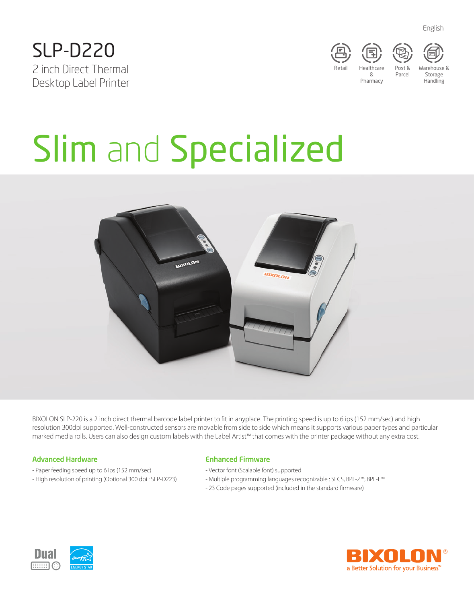





Post & Parcel

Storage Handling

# Slim and Specialized



BIXOLON SLP-220 is a 2 inch direct thermal barcode label printer to fit in anyplace. The printing speed is up to 6 ips (152 mm/sec) and high resolution 300dpi supported. Well-constructed sensors are movable from side to side which means it supports various paper types and particular marked media rolls. Users can also design custom labels with the Label Artist™ that comes with the printer package without any extra cost.

## Advanced Hardware

- Paper feeding speed up to 6 ips (152 mm/sec)
- High resolution of printing (Optional 300 dpi : SLP-D223)

## Enhanced Firmware

- Vector font (Scalable font) supported
- Multiple programming languages recognizable : SLCS, BPL-Z™, BPL-E™
- 23 Code pages supported (included in the standard firmware)